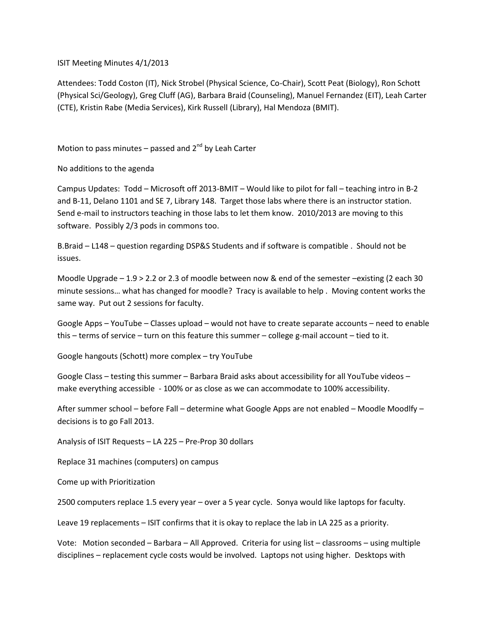ISIT Meeting Minutes 4/1/2013

Attendees: Todd Coston (IT), Nick Strobel (Physical Science, Co-Chair), Scott Peat (Biology), Ron Schott (Physical Sci/Geology), Greg Cluff (AG), Barbara Braid (Counseling), Manuel Fernandez (EIT), Leah Carter (CTE), Kristin Rabe (Media Services), Kirk Russell (Library), Hal Mendoza (BMIT).

Motion to pass minutes – passed and  $2^{nd}$  by Leah Carter

No additions to the agenda

Campus Updates: Todd – Microsoft off 2013-BMIT – Would like to pilot for fall – teaching intro in B-2 and B-11, Delano 1101 and SE 7, Library 148. Target those labs where there is an instructor station. Send e-mail to instructors teaching in those labs to let them know. 2010/2013 are moving to this software. Possibly 2/3 pods in commons too.

B.Braid – L148 – question regarding DSP&S Students and if software is compatible . Should not be issues.

Moodle Upgrade – 1.9 > 2.2 or 2.3 of moodle between now & end of the semester –existing (2 each 30 minute sessions… what has changed for moodle? Tracy is available to help . Moving content works the same way. Put out 2 sessions for faculty.

Google Apps – YouTube – Classes upload – would not have to create separate accounts – need to enable this – terms of service – turn on this feature this summer – college g-mail account – tied to it.

Google hangouts (Schott) more complex – try YouTube

Google Class – testing this summer – Barbara Braid asks about accessibility for all YouTube videos – make everything accessible - 100% or as close as we can accommodate to 100% accessibility.

After summer school – before Fall – determine what Google Apps are not enabled – Moodle Moodlfy – decisions is to go Fall 2013.

Analysis of ISIT Requests – LA 225 – Pre-Prop 30 dollars

Replace 31 machines (computers) on campus

Come up with Prioritization

2500 computers replace 1.5 every year – over a 5 year cycle. Sonya would like laptops for faculty.

Leave 19 replacements – ISIT confirms that it is okay to replace the lab in LA 225 as a priority.

Vote: Motion seconded – Barbara – All Approved. Criteria for using list – classrooms – using multiple disciplines – replacement cycle costs would be involved. Laptops not using higher. Desktops with